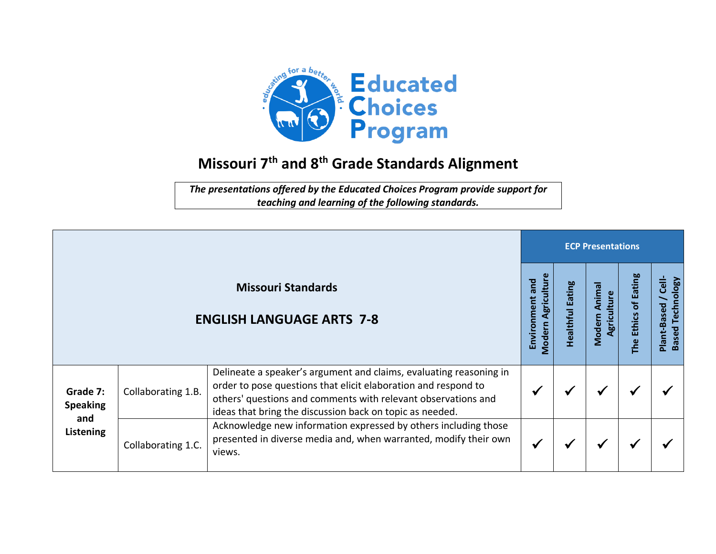

## **Missouri 7 th and 8th Grade Standards Alignment**

*The presentations offered by the Educated Choices Program provide support for teaching and learning of the following standards.*

|                                                               |                    |                                                                                                                                                                                                                                                                   | <b>ECP Presentations</b>                           |                        |                                 |                                            |                                             |  |  |
|---------------------------------------------------------------|--------------------|-------------------------------------------------------------------------------------------------------------------------------------------------------------------------------------------------------------------------------------------------------------------|----------------------------------------------------|------------------------|---------------------------------|--------------------------------------------|---------------------------------------------|--|--|
| <b>Missouri Standards</b><br><b>ENGLISH LANGUAGE ARTS 7-8</b> |                    |                                                                                                                                                                                                                                                                   | Agriculture<br>and<br>Environment<br><b>Modern</b> | ating<br>m<br>ealthful | Animal<br>Agriculture<br>Modern | <b>Eating</b><br>đ<br><b>Ethics</b><br>The | 言<br><b>Based Technology</b><br>Plant-Based |  |  |
| Grade 7:<br><b>Speaking</b><br>and<br>Listening               | Collaborating 1.B. | Delineate a speaker's argument and claims, evaluating reasoning in<br>order to pose questions that elicit elaboration and respond to<br>others' questions and comments with relevant observations and<br>ideas that bring the discussion back on topic as needed. |                                                    |                        | ₩                               |                                            |                                             |  |  |
|                                                               | Collaborating 1.C. | Acknowledge new information expressed by others including those<br>presented in diverse media and, when warranted, modify their own<br>views.                                                                                                                     |                                                    |                        | ₩                               |                                            |                                             |  |  |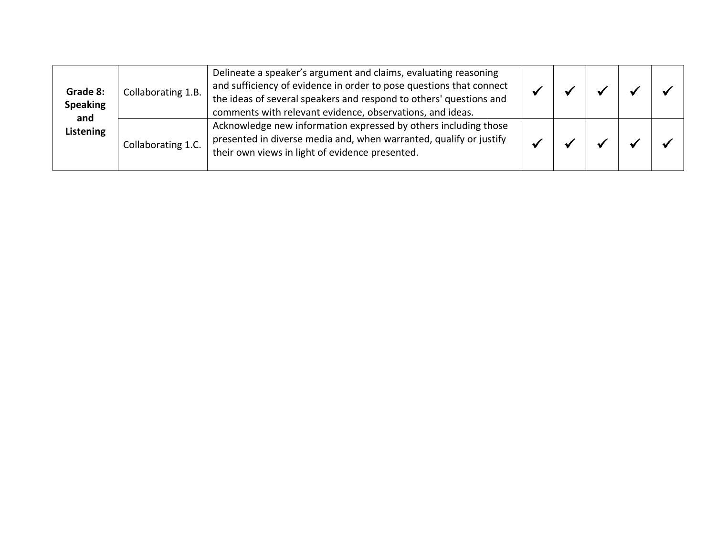| Grade 8:<br><b>Speaking</b><br>and<br>Listening | Collaborating 1.B. | Delineate a speaker's argument and claims, evaluating reasoning<br>and sufficiency of evidence in order to pose questions that connect<br>the ideas of several speakers and respond to others' questions and<br>comments with relevant evidence, observations, and ideas. |  |  |  |
|-------------------------------------------------|--------------------|---------------------------------------------------------------------------------------------------------------------------------------------------------------------------------------------------------------------------------------------------------------------------|--|--|--|
|                                                 | Collaborating 1.C. | Acknowledge new information expressed by others including those<br>presented in diverse media and, when warranted, qualify or justify<br>their own views in light of evidence presented.                                                                                  |  |  |  |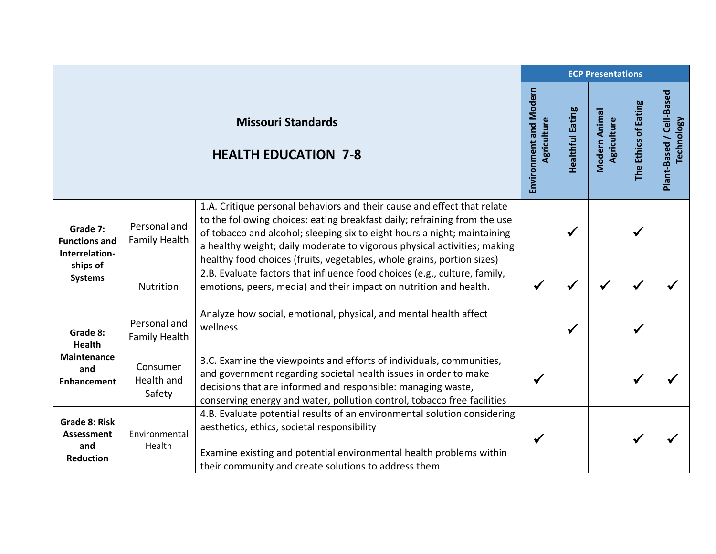|                                                                                  |                                      |                                                                                                                                                                                                                                                                                                                                                                                        | <b>ECP Presentations</b>              |                         |                              |                      |                                               |  |  |
|----------------------------------------------------------------------------------|--------------------------------------|----------------------------------------------------------------------------------------------------------------------------------------------------------------------------------------------------------------------------------------------------------------------------------------------------------------------------------------------------------------------------------------|---------------------------------------|-------------------------|------------------------------|----------------------|-----------------------------------------------|--|--|
|                                                                                  |                                      | <b>Missouri Standards</b><br><b>HEALTH EDUCATION 7-8</b>                                                                                                                                                                                                                                                                                                                               | Environment and Modern<br>Agriculture | <b>Healthful Eating</b> | Modern Animal<br>Agriculture | The Ethics of Eating | Plant-Based / Cell-Based<br><b>Technology</b> |  |  |
| Grade 7:<br><b>Functions and</b><br>Interrelation-<br>ships of<br><b>Systems</b> | Personal and<br><b>Family Health</b> | 1.A. Critique personal behaviors and their cause and effect that relate<br>to the following choices: eating breakfast daily; refraining from the use<br>of tobacco and alcohol; sleeping six to eight hours a night; maintaining<br>a healthy weight; daily moderate to vigorous physical activities; making<br>healthy food choices (fruits, vegetables, whole grains, portion sizes) |                                       | √                       |                              | $\checkmark$         |                                               |  |  |
|                                                                                  | Nutrition                            | 2.B. Evaluate factors that influence food choices (e.g., culture, family,<br>emotions, peers, media) and their impact on nutrition and health.                                                                                                                                                                                                                                         | $\checkmark$                          |                         |                              |                      |                                               |  |  |
| Grade 8:<br><b>Health</b><br><b>Maintenance</b><br>and<br><b>Enhancement</b>     | Personal and<br><b>Family Health</b> | Analyze how social, emotional, physical, and mental health affect<br>wellness                                                                                                                                                                                                                                                                                                          |                                       | ✔                       |                              | ✔                    |                                               |  |  |
|                                                                                  | Consumer<br>Health and<br>Safety     | 3.C. Examine the viewpoints and efforts of individuals, communities,<br>and government regarding societal health issues in order to make<br>decisions that are informed and responsible: managing waste,<br>conserving energy and water, pollution control, tobacco free facilities                                                                                                    | $\checkmark$                          |                         |                              | ✔                    |                                               |  |  |
| <b>Grade 8: Risk</b><br>Assessment<br>and<br><b>Reduction</b>                    | Environmental<br>Health              | 4.B. Evaluate potential results of an environmental solution considering<br>aesthetics, ethics, societal responsibility<br>Examine existing and potential environmental health problems within<br>their community and create solutions to address them                                                                                                                                 | $\checkmark$                          |                         |                              | ✔                    |                                               |  |  |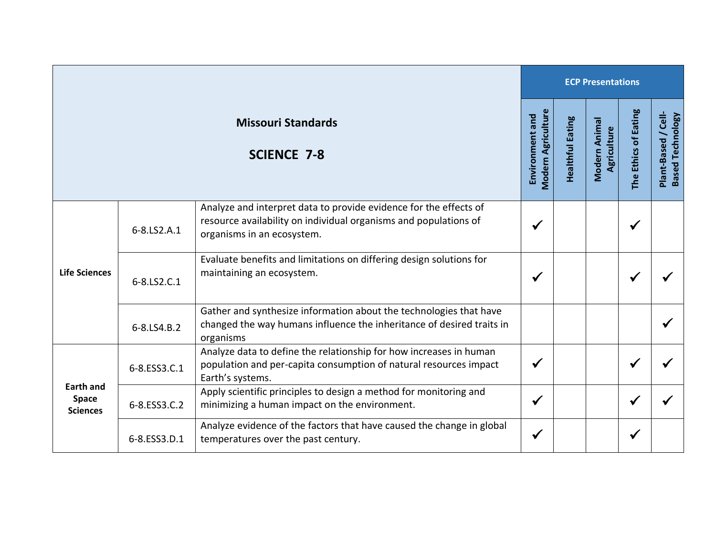|                                                 |              |                                                                                                                                                                     |              | <b>ECP Presentations</b> |                              |                      |                                                |  |  |  |
|-------------------------------------------------|--------------|---------------------------------------------------------------------------------------------------------------------------------------------------------------------|--------------|--------------------------|------------------------------|----------------------|------------------------------------------------|--|--|--|
| <b>Missouri Standards</b><br><b>SCIENCE 7-8</b> |              |                                                                                                                                                                     |              | <b>Healthful Eating</b>  | Modern Animal<br>Agriculture | The Ethics of Eating | Plant-Based / Cell-<br><b>Based Technology</b> |  |  |  |
| <b>Life Sciences</b>                            | 6-8.LS2.A.1  | Analyze and interpret data to provide evidence for the effects of<br>resource availability on individual organisms and populations of<br>organisms in an ecosystem. | ✔            |                          |                              | $\checkmark$         |                                                |  |  |  |
|                                                 | 6-8.LS2.C.1  | Evaluate benefits and limitations on differing design solutions for<br>maintaining an ecosystem.                                                                    | $\checkmark$ |                          |                              | ✔                    |                                                |  |  |  |
|                                                 | 6-8.LS4.B.2  | Gather and synthesize information about the technologies that have<br>changed the way humans influence the inheritance of desired traits in<br>organisms            |              |                          |                              |                      |                                                |  |  |  |
| <b>Earth and</b><br>Space<br><b>Sciences</b>    | 6-8.ESS3.C.1 | Analyze data to define the relationship for how increases in human<br>population and per-capita consumption of natural resources impact<br>Earth's systems.         | $\checkmark$ |                          |                              | $\checkmark$         |                                                |  |  |  |
|                                                 | 6-8.ESS3.C.2 | Apply scientific principles to design a method for monitoring and<br>minimizing a human impact on the environment.                                                  | $\checkmark$ |                          |                              | $\checkmark$         |                                                |  |  |  |
|                                                 | 6-8.ESS3.D.1 | Analyze evidence of the factors that have caused the change in global<br>temperatures over the past century.                                                        | ✔            |                          |                              | ✔                    |                                                |  |  |  |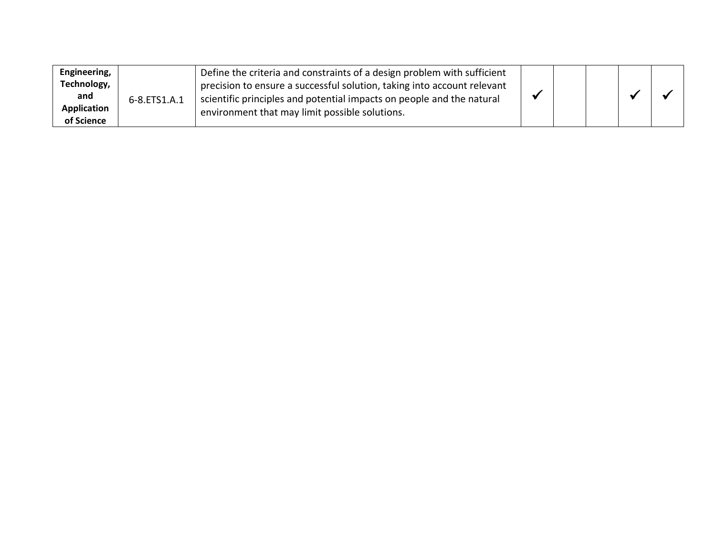| Engineering,       | 6-8.ETS1.A.1 | Define the criteria and constraints of a design problem with sufficient |  |  |  |  |
|--------------------|--------------|-------------------------------------------------------------------------|--|--|--|--|
| Technology,        |              | precision to ensure a successful solution, taking into account relevant |  |  |  |  |
| and                |              | scientific principles and potential impacts on people and the natural   |  |  |  |  |
| <b>Application</b> |              | environment that may limit possible solutions.                          |  |  |  |  |
| of Science         |              |                                                                         |  |  |  |  |